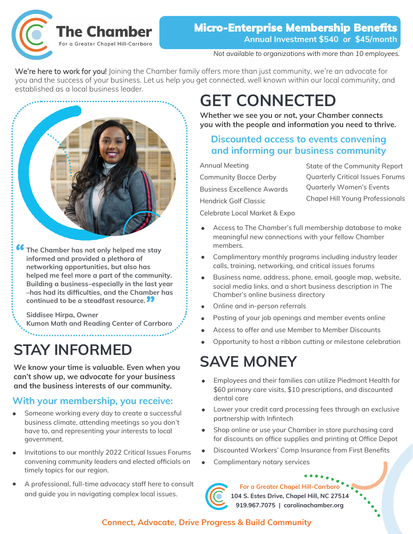

#### *Not available to organizations with more than 10 employees.*

We're here to work for you! Joining the Chamber family offers more than just community, we're an advocate for you and the success of your business. Let us help you get connected, well known within our local community, and established as a local business leader.



**f6** The Chamber has not only helped me stay informed and provided a plethora of **informed and provided a plethora of networking opportunities, but also has helped me feel more a part of the community. Building a business–especially in the last year –has had its difficulties, and the Chamber has continued to be a steadfast resource. "**

**Siddisee Hirpa, Owner Kumon Math and Reading Center of Carrboro**

# **STAY INFORMED**

**We know your time is valuable. Even when you can't show up, we advocate for your business and the business interests of our community.**

## **With your membership, you receive:**

- Someone working every day to create a successful business climate, attending meetings so you don't have to, and representing your interests to local government.
- Invitations to our monthly 2022 Critical Issues Forums convening community leaders and elected officials on timely topics for our region.
- A professional, full-time advocacy staff here to consult and guide you in navigating complex local issues.

# **GET CONNECTED**

**Whether we see you or not, your Chamber connects you with the people and information you need to thrive.**

## **Discounted access to events convening and informing our business community**

Annual Meeting

Community Bocce Derby Business Excellence Awards Hendrick Golf Classic

State of the Community Report Quarterly Critical Issues Forums Quarterly Women's Events Chapel Hill Young Professionals

Celebrate Local Market & Expo

- Access to The Chamber's full membership database to make meaningful new connections with your fellow Chamber members.
- Complimentary monthly programs including industry leader calls, training, networking, and critical issues forums
- Business name, address, phone, email, google map, website, social media links, and a short business description in The Chamber's online business directory
- Online and in-person referrals
- Posting of your job openings and member events online
- Access to offer and use Member to Member Discounts
- Opportunity to host a ribbon cutting or milestone celebration

# **SAVE MONEY**

- Employees and their families can utilize Piedmont Health for \$60 primary care visits, \$10 prescriptions, and discounted dental care
- Lower your credit card processing fees through an exclusive partnership with Infintech
- Shop online or use your Chamber in store purchasing card for discounts on office supplies and printing at Office Depot
- Discounted Workers' Comp Insurance from First Benefits
- Complimentary notary services



**For a Greater Chapel Hill-Carrboro 104 S. Estes Drive, Chapel Hill, NC 27514 919.967.7075 | carolinachamber.org**

### **Connect, Advocate, Drive Progress & Build Community**